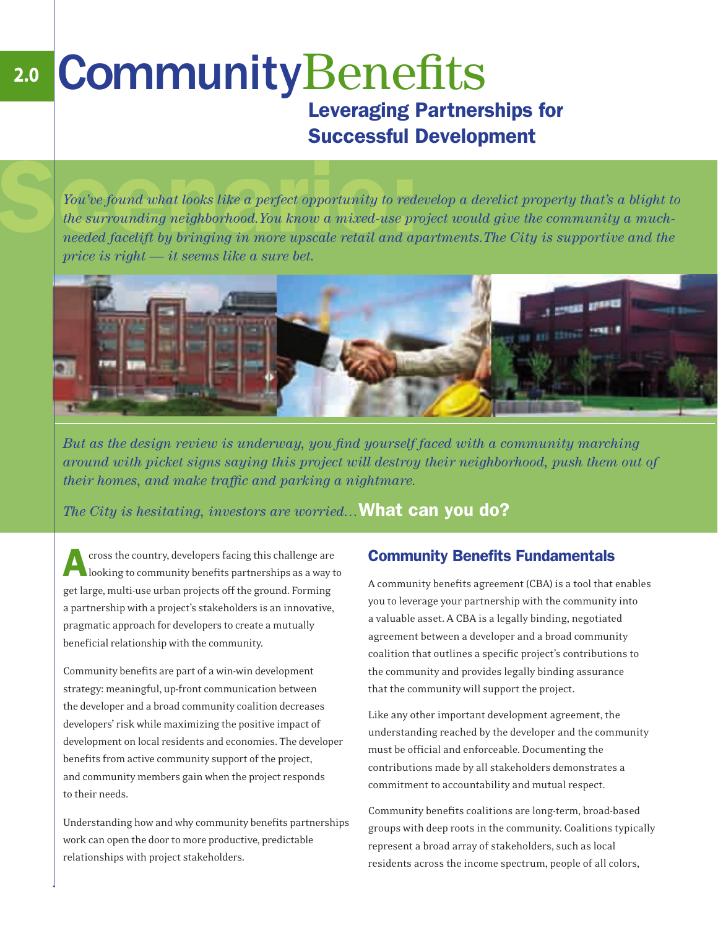# CommunityBenefits Leveraging Partnerships for Successful Development **2.0**

*You've found what looks like a perfect opportunity to redevelop a derelict property that's a blight to the surrounding neighborhood.You know a mixed-use project would give the community a muchneeded facelift by bringing in more upscale retail and apartments.The City is supportive and the price is right — it seems like a sure bet.*



But as the design review is underway, you find yourself faced with a community marching *around with picket signs saying this project will destroy their neighborhood, push them out of their homes, and make traffic and parking a nightmare.* 

*The City is hesitating, investors are worried…*What can you do?

A cross the country, developers facing this challenge are looking to community benefits partnerships as a way to get large, multi-use urban projects off the ground. Forming a partnership with a project's stakeholders is an innovative, pragmatic approach for developers to create a mutually beneficial relationship with the community.

Community benefits are part of a win-win development strategy: meaningful, up-front communication between the developer and a broad community coalition decreases developers' risk while maximizing the positive impact of development on local residents and economies. The developer benefits from active community support of the project, and community members gain when the project responds to their needs.

Understanding how and why community benefits partnerships work can open the door to more productive, predictable relationships with project stakeholders.

#### **Community Benefits Fundamentals**

A community benefits agreement (CBA) is a tool that enables you to leverage your partnership with the community into a valuable asset. A CBA is a legally binding, negotiated agreement between a developer and a broad community coalition that outlines a specific project's contributions to the community and provides legally binding assurance that the community will support the project.

Like any other important development agreement, the understanding reached by the developer and the community must be official and enforceable. Documenting the contributions made by all stakeholders demonstrates a commitment to accountability and mutual respect.

Community benefits coalitions are long-term, broad-based groups with deep roots in the community. Coalitions typically represent a broad array of stakeholders, such as local residents across the income spectrum, people of all colors,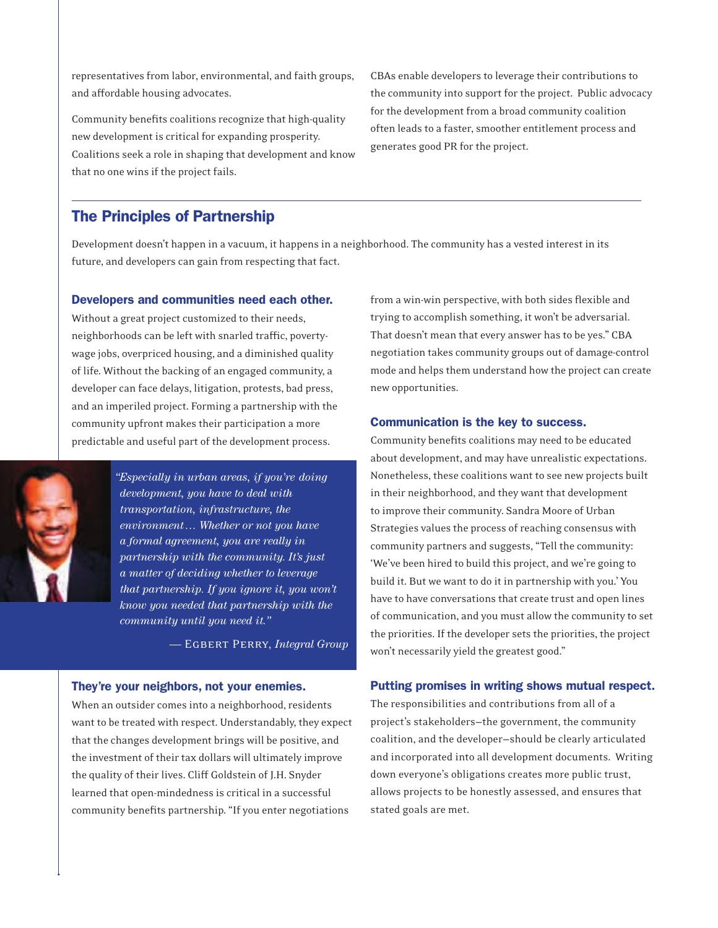representatives from labor, environmental, and faith groups, and affordable housing advocates.

Community benefits coalitions recognize that high-quality new development is critical for expanding prosperity. Coalitions seek a role in shaping that development and know that no one wins if the project fails.

CBAs enable developers to leverage their contributions to the community into support for the project. Public advocacy for the development from a broad community coalition often leads to a faster, smoother entitlement process and generates good PR for the project.

#### The Principles of Partnership

Development doesn't happen in a vacuum, it happens in a neighborhood. The community has a vested interest in its future, and developers can gain from respecting that fact.

#### Developers and communities need each other.

Without a great project customized to their needs, neighborhoods can be left with snarled traffic, povertywage jobs, overpriced housing, and a diminished quality of life. Without the backing of an engaged community, a developer can face delays, litigation, protests, bad press, and an imperiled project. Forming a partnership with the community upfront makes their participation a more predictable and useful part of the development process.



*"Especially in urban areas, if you're doing development, you have to deal with transportation, infrastructure, the environment… Whether or not you have a formal agreement, you are really in partnership with the community. It's just a matter of deciding whether to leverage that partnership. If you ignore it, you won't know you needed that partnership with the community until you need it."* 

 $-$  **EGBERT PERRY**, *Integral Group* 

#### They're your neighbors, not your enemies.

When an outsider comes into a neighborhood, residents want to be treated with respect. Understandably, they expect that the changes development brings will be positive, and the investment of their tax dollars will ultimately improve the quality of their lives. Cliff Goldstein of J.H. Snyder learned that open-mindedness is critical in a successful community benefits partnership. "If you enter negotiations

from a win-win perspective, with both sides flexible and trying to accomplish something, it won't be adversarial. That doesn't mean that every answer has to be yes." CBA negotiation takes community groups out of damage-control mode and helps them understand how the project can create new opportunities.

#### Communication is the key to success.

Community benefits coalitions may need to be educated about development, and may have unrealistic expectations. Nonetheless, these coalitions want to see new projects built in their neighborhood, and they want that development to improve their community. Sandra Moore of Urban Strategies values the process of reaching consensus with community partners and suggests, "Tell the community: 'We've been hired to build this project, and we're going to build it. But we want to do it in partnership with you.' You have to have conversations that create trust and open lines of communication, and you must allow the community to set the priorities. If the developer sets the priorities, the project won't necessarily yield the greatest good."

#### Putting promises in writing shows mutual respect.

The responsibilities and contributions from all of a project's stakeholders-the government, the community coalition, and the developer-should be clearly articulated and incorporated into all development documents. Writing down everyone's obligations creates more public trust, allows projects to be honestly assessed, and ensures that stated goals are met.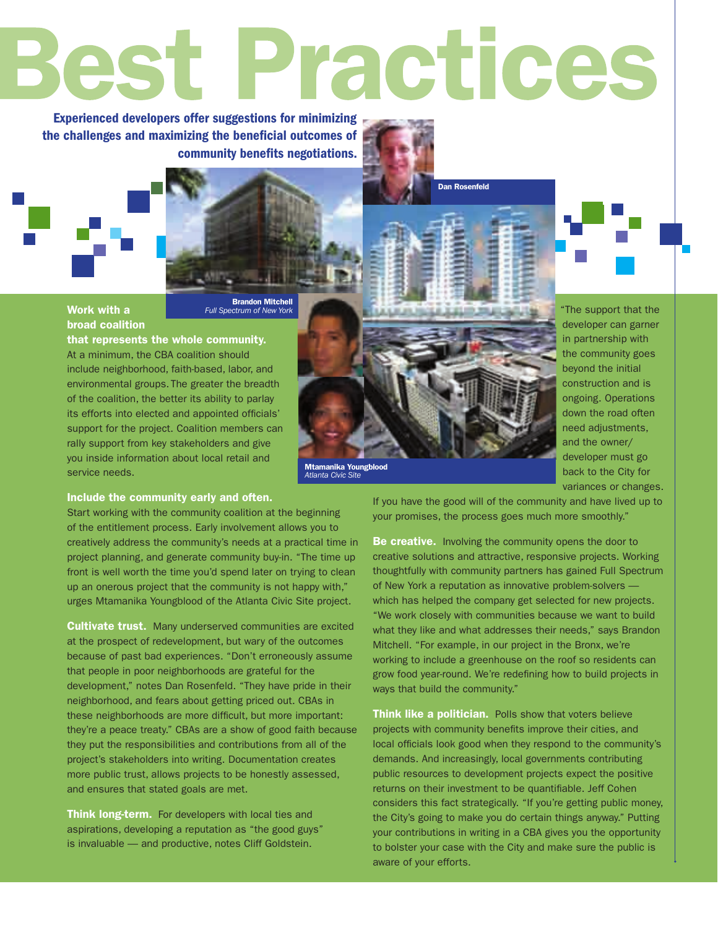# Best Practices

Experienced developers offer suggestions for minimizing the challenges and maximizing the beneficial outcomes of community benefits negotiations.

#### Work with a broad coalition

**Brandon Mitchell**<br>Full Spectrum of New York

that represents the whole community. At a minimum, the CBA coalition should include neighborhood, faith-based, labor, and environmental groups. The greater the breadth of the coalition, the better its ability to parlay its efforts into elected and appointed officials' support for the project. Coalition members can rally support from key stakeholders and give you inside information about local retail and service needs.

#### Include the community early and often.

Start working with the community coalition at the beginning of the entitlement process. Early involvement allows you to creatively address the community's needs at a practical time in project planning, and generate community buy-in. "The time up front is well worth the time you'd spend later on trying to clean up an onerous project that the community is not happy with," urges Mtamanika Youngblood of the Atlanta Civic Site project.

Cultivate trust. Many underserved communities are excited at the prospect of redevelopment, but wary of the outcomes because of past bad experiences. "Don't erroneously assume that people in poor neighborhoods are grateful for the development," notes Dan Rosenfeld. "They have pride in their neighborhood, and fears about getting priced out. CBAs in these neighborhoods are more difficult, but more important: they're a peace treaty." CBAs are a show of good faith because they put the responsibilities and contributions from all of the project's stakeholders into writing. Documentation creates more public trust, allows projects to be honestly assessed, and ensures that stated goals are met.

Think long-term. For developers with local ties and aspirations, developing a reputation as "the good guys" is invaluable — and productive, notes Cliff Goldstein.

Dan Rosenfeld



"The support that the developer can garner in partnership with the community goes beyond the initial construction and is ongoing. Operations down the road often need adjustments, and the owner/ developer must go back to the City for

variances or changes.

If you have the good will of the community and have lived up to your promises, the process goes much more smoothly."

Be creative. Involving the community opens the door to creative solutions and attractive, responsive projects. Working thoughtfully with community partners has gained Full Spectrum of New York a reputation as innovative problem-solvers which has helped the company get selected for new projects. "We work closely with communities because we want to build what they like and what addresses their needs," says Brandon Mitchell. "For example, in our project in the Bronx, we're working to include a greenhouse on the roof so residents can grow food year-round. We're redefining how to build projects in ways that build the community."

Think like a politician. Polls show that voters believe projects with community benefits improve their cities, and local officials look good when they respond to the community's demands. And increasingly, local governments contributing public resources to development projects expect the positive returns on their investment to be quantifiable. Jeff Cohen considers this fact strategically. "If you're getting public money, the City's going to make you do certain things anyway." Putting your contributions in writing in a CBA gives you the opportunity to bolster your case with the City and make sure the public is aware of your efforts.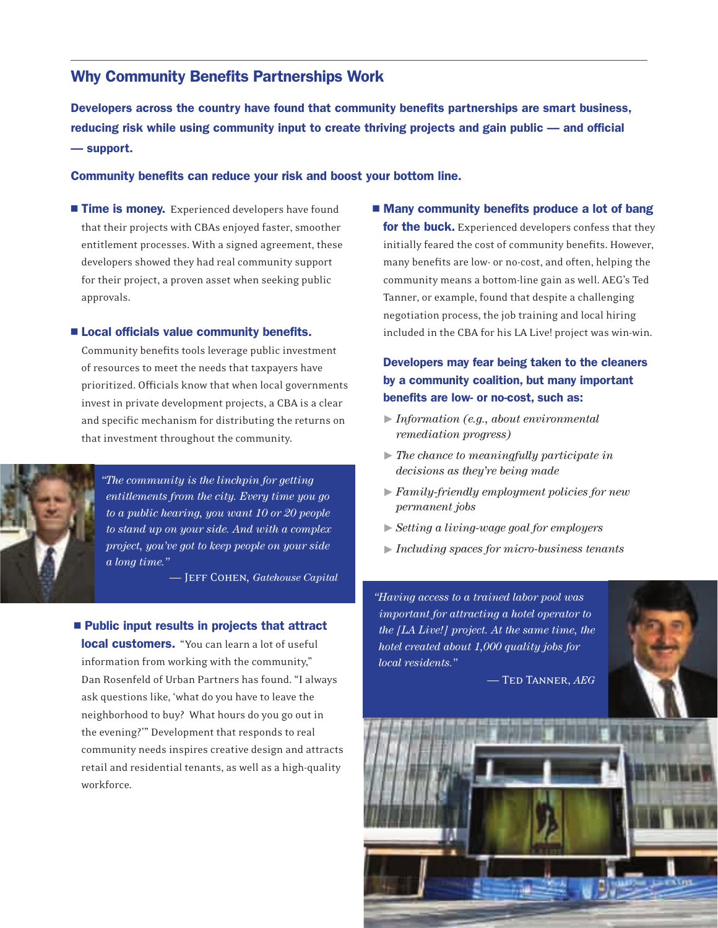#### Why Community Benefits Partnerships Work

Developers across the country have found that community benefits partnerships are smart business, reducing risk while using community input to create thriving projects and gain public — and official — support.

#### Community benefits can reduce your risk and boost your bottom line.

Time is money. Experienced developers have found that their projects with CBAs enjoyed faster, smoother entitlement processes. With a signed agreement, these developers showed they had real community support for their project, a proven asset when seeking public approvals.

#### **Example 2 Local officials value community benefits.**

Community benefits tools leverage public investment of resources to meet the needs that taxpayers have prioritized. Officials know that when local governments invest in private development projects, a CBA is a clear and specific mechanism for distributing the returns on that investment throughout the community.



*"The community is the linchpin for getting entitlements from the city. Every time you go to a public hearing, you want 10 or 20 people to stand up on your side. And with a complex project, you've got to keep people on your side a long time."*

 $-$  **JEFF COHEN**, *Gatehouse Capital* 

#### $\blacksquare$  Public input results in projects that attract

**local customers.** "You can learn a lot of useful information from working with the community," Dan Rosenfeld of Urban Partners has found. "I always ask questions like, 'what do you have to leave the neighborhood to buy? What hours do you go out in the evening?"" Development that responds to real community needs inspires creative design and attracts retail and residential tenants, as well as a high-quality workforce.

■ Many community benefits produce a lot of bang for the buck. Experienced developers confess that they initially feared the cost of community benefits. However, many benefits are low- or no-cost, and often, helping the community means a bottom-line gain as well. AEG's Ted Tanner, or example, found that despite a challenging negotiation process, the job training and local hiring included in the CBA for his LA Live! project was win-win.

#### Developers may fear being taken to the cleaners by a community coalition, but many important benefits are low- or no-cost, such as:

- <sup>0</sup> *Information (e.g., about environmental remediation progress)*
- <sup>0</sup> *The chance to meaningfully participate in decisions as they're being made*
- <sup>0</sup> *Family-friendly employment policies for new permanent jobs*
- <sup>0</sup> *Setting a living-wage goal for employers*
- <sup>0</sup> *Including spaces for micro-business tenants*

*"Having access to a trained labor pool was important for attracting a hotel operator to the [LA Live!] project. At the same time, the hotel created about 1,000 quality jobs for local residents."* 

 $-$  Ted Tanner, *AEG* 

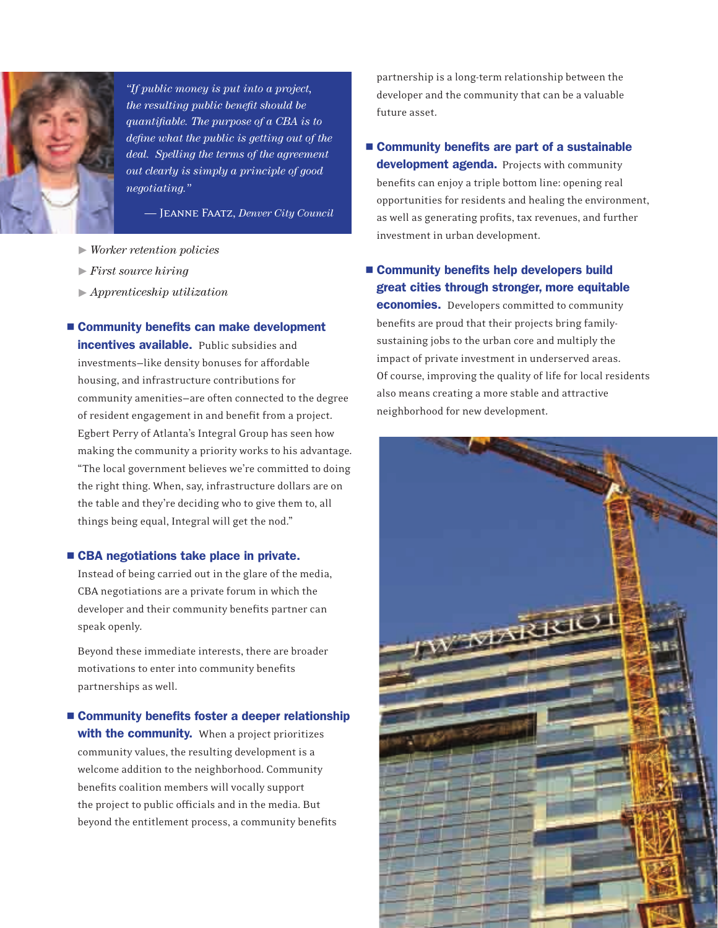

*"If public money is put into a project, the resulting public benefit should be quantifiable. The purpose of a CBA is to define what the public is getting out of the deal. Spelling the terms of the agreement out clearly is simply a principle of good negotiating."* 

 $-$  JEANNE FAATZ, *Denver City Council* 

- <sup>0</sup> *Worker retention policies*
- <sup>0</sup> *First source hiring*
- <sup>0</sup> *Apprenticeship utilization*
- Community benefits can make development incentives available. Public subsidies and investments-like density bonuses for affordable housing, and infrastructure contributions for community amenities-are often connected to the degree of resident engagement in and benefit from a project. Egbert Perry of Atlanta's Integral Group has seen how making the community a priority works to his advantage. "The local government believes we're committed to doing the right thing. When, say, infrastructure dollars are on the table and they're deciding who to give them to, all things being equal, Integral will get the nod."

#### ■ CBA negotiations take place in private.

Instead of being carried out in the glare of the media, CBA negotiations are a private forum in which the developer and their community benefits partner can speak openly.

Beyond these immediate interests, there are broader motivations to enter into community benefits partnerships as well.

■ Community benefits foster a deeper relationship with the community. When a project prioritizes community values, the resulting development is a welcome addition to the neighborhood. Community benefits coalition members will vocally support the project to public officials and in the media. But beyond the entitlement process, a community benefits

partnership is a long-term relationship between the developer and the community that can be a valuable future asset.

■ Community benefits are part of a sustainable development agenda. Projects with community benefits can enjoy a triple bottom line: opening real opportunities for residents and healing the environment, as well as generating profits, tax revenues, and further investment in urban development.

#### ■ Community benefits help developers build great cities through stronger, more equitable **economies.** Developers committed to community benefits are proud that their projects bring familysustaining jobs to the urban core and multiply the impact of private investment in underserved areas. Of course, improving the quality of life for local residents also means creating a more stable and attractive neighborhood for new development.

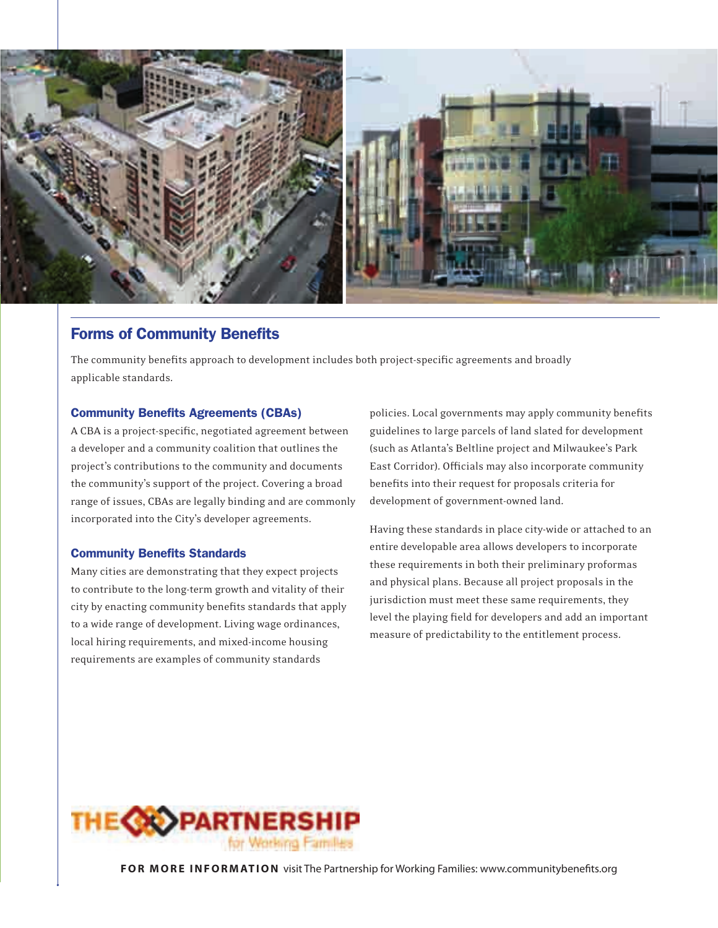

#### **Forms of Community Benefits**

The community benefits approach to development includes both project-specific agreements and broadly applicable standards.

#### **Community Benefits Agreements (CBAs)**

A CBA is a project-specific, negotiated agreement between a developer and a community coalition that outlines the project's contributions to the community and documents the community's support of the project. Covering a broad range of issues, CBAs are legally binding and are commonly incorporated into the City's developer agreements.

#### **Community Benefits Standards**

Many cities are demonstrating that they expect projects to contribute to the long-term growth and vitality of their city by enacting community benefits standards that apply to a wide range of development. Living wage ordinances, local hiring requirements, and mixed-income housing requirements are examples of community standards

policies. Local governments may apply community benefits guidelines to large parcels of land slated for development (such as Atlanta's Beltline project and Milwaukee's Park East Corridor). Officials may also incorporate community benefits into their request for proposals criteria for development of government-owned land.

Having these standards in place city-wide or attached to an entire developable area allows developers to incorporate these requirements in both their preliminary proformas and physical plans. Because all project proposals in the jurisdiction must meet these same requirements, they level the playing field for developers and add an important measure of predictability to the entitlement process.



**FOR MORE INFORMATION** visit The Partnership for Working Families: www.communitybenefits.org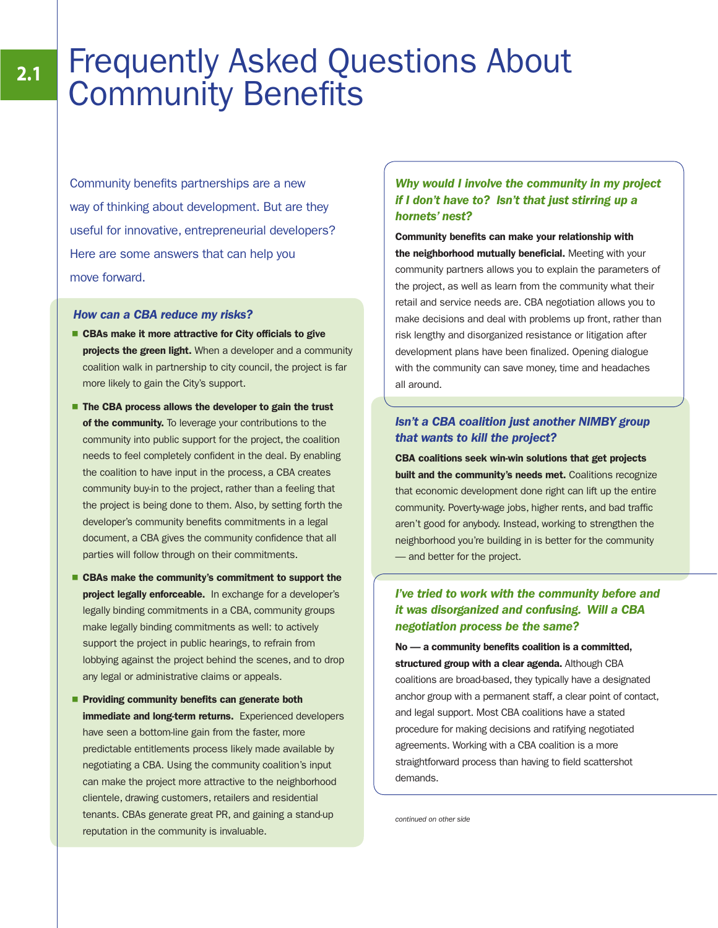# Frequently Asked Questions About **Community Benefits**

Community benefits partnerships are a new way of thinking about development. But are they useful for innovative, entrepreneurial developers? Here are some answers that can help you move forward.

#### How can a CBA reduce my risks?

- $\blacksquare$  CBAs make it more attractive for City officials to give projects the green light. When a developer and a community coalition walk in partnership to city council, the project is far more likely to gain the City's support.
- The CBA process allows the developer to gain the trust of the community. To leverage your contributions to the community into public support for the project, the coalition needs to feel completely confident in the deal. By enabling the coalition to have input in the process, a CBA creates community buy-in to the project, rather than a feeling that the project is being done to them. Also, by setting forth the developer's community benefits commitments in a legal document, a CBA gives the community confidence that all parties will follow through on their commitments.
- CBAs make the community's commitment to support the project legally enforceable. In exchange for a developer's legally binding commitments in a CBA, community groups make legally binding commitments as well: to actively support the project in public hearings, to refrain from lobbying against the project behind the scenes, and to drop any legal or administrative claims or appeals.
- **Providing community benefits can generate both** immediate and long-term returns. Experienced developers have seen a bottom-line gain from the faster, more predictable entitlements process likely made available by negotiating a CBA. Using the community coalition's input can make the project more attractive to the neighborhood clientele, drawing customers, retailers and residential tenants. CBAs generate great PR, and gaining a stand-up reputation in the community is invaluable.

#### Why would I involve the community in my project if I don't have to? Isn't that just stirring up a hornets' nest?

Community benefits can make your relationship with the neighborhood mutually beneficial. Meeting with your community partners allows you to explain the parameters of the project, as well as learn from the community what their retail and service needs are. CBA negotiation allows you to make decisions and deal with problems up front, rather than risk lengthy and disorganized resistance or litigation after development plans have been finalized. Opening dialogue with the community can save money, time and headaches all around.

#### Isn't a CBA coalition just another NIMBY group that wants to kill the project?

CBA coalitions seek win-win solutions that get projects built and the community's needs met. Coalitions recognize that economic development done right can lift up the entire community. Poverty-wage jobs, higher rents, and bad traffic aren't good for anybody. Instead, working to strengthen the neighborhood you're building in is better for the community — and better for the project.

#### I've tried to work with the community before and it was disorganized and confusing. Will a CBA negotiation process be the same?

No — a community benefits coalition is a committed, structured group with a clear agenda. Although CBA coalitions are broad-based, they typically have a designated anchor group with a permanent staff, a clear point of contact, and legal support. Most CBA coalitions have a stated procedure for making decisions and ratifying negotiated agreements. Working with a CBA coalition is a more straightforward process than having to field scattershot demands.

continued on other side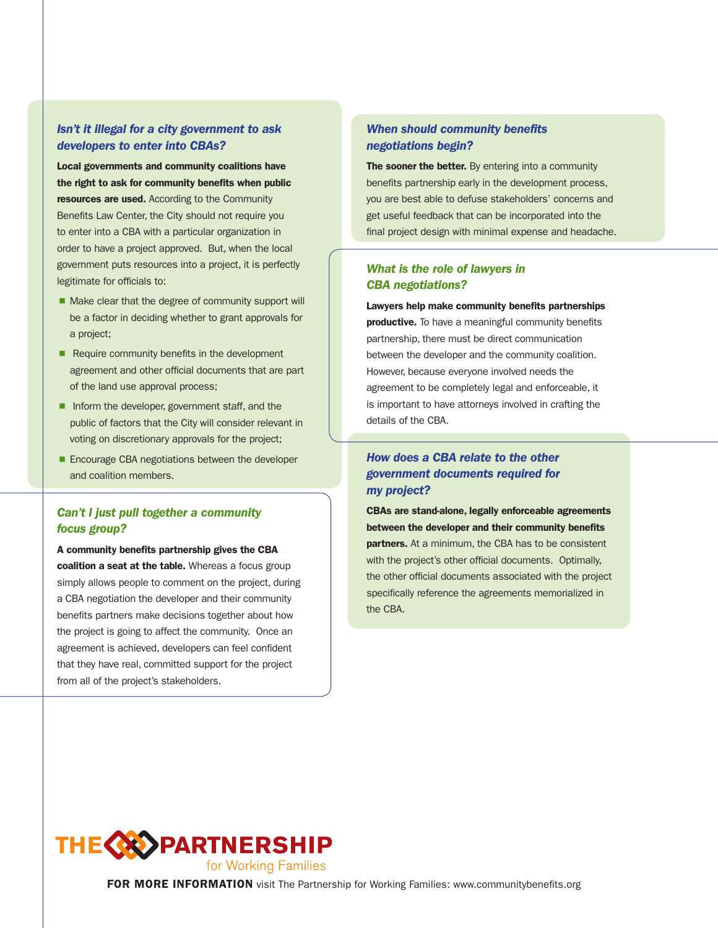#### Isn't it illegal for a city government to ask developers to enter into CBAs?

Local governments and community coalitions have the right to ask for community benefits when public resources are used. According to the Community Benefits Law Center, the City should not require you to enter into a CBA with a particular organization in order to have a project approved. But, when the local government puts resources into a project, it is perfectly legitimate for officials to:

- Make clear that the degree of community support will be a factor in deciding whether to grant approvals for a project;
- $\blacksquare$  Require community benefits in the development agreement and other official documents that are part of the land use approval process;
- **F** Inform the developer, government staff, and the public of factors that the City will consider relevant in voting on discretionary approvals for the project;
- Encourage CBA negotiations between the developer and coalition members.

#### Can't I just pull together a community focus group?

A community benefits partnership gives the CBA coalition a seat at the table. Whereas a focus group simply allows people to comment on the project, during a CBA negotiation the developer and their community benefits partners make decisions together about how the project is going to affect the community. Once an agreement is achieved, developers can feel confident that they have real, committed support for the project from all of the project's stakeholders.

#### When should community benefits negotiations begin?

The sooner the better. By entering into a community benefits partnership early in the development process, you are best able to defuse stakeholders' concerns and get useful feedback that can be incorporated into the final project design with minimal expense and headache.

#### What is the role of lawyers in CBA negotiations?

Lawyers help make community benefits partnerships productive. To have a meaningful community benefits partnership, there must be direct communication between the developer and the community coalition. However, because everyone involved needs the agreement to be completely legal and enforceable, it is important to have attorneys involved in crafting the details of the CBA.

#### How does a CBA relate to the other government documents required for my project?

CBAs are stand-alone, legally enforceable agreements between the developer and their community benefits **partners.** At a minimum, the CBA has to be consistent with the project's other official documents. Optimally, the other official documents associated with the project specifically reference the agreements memorialized in the CBA.



FOR MORE INFORMATION visit The Partnership for Working Families: www.communitybenefits.org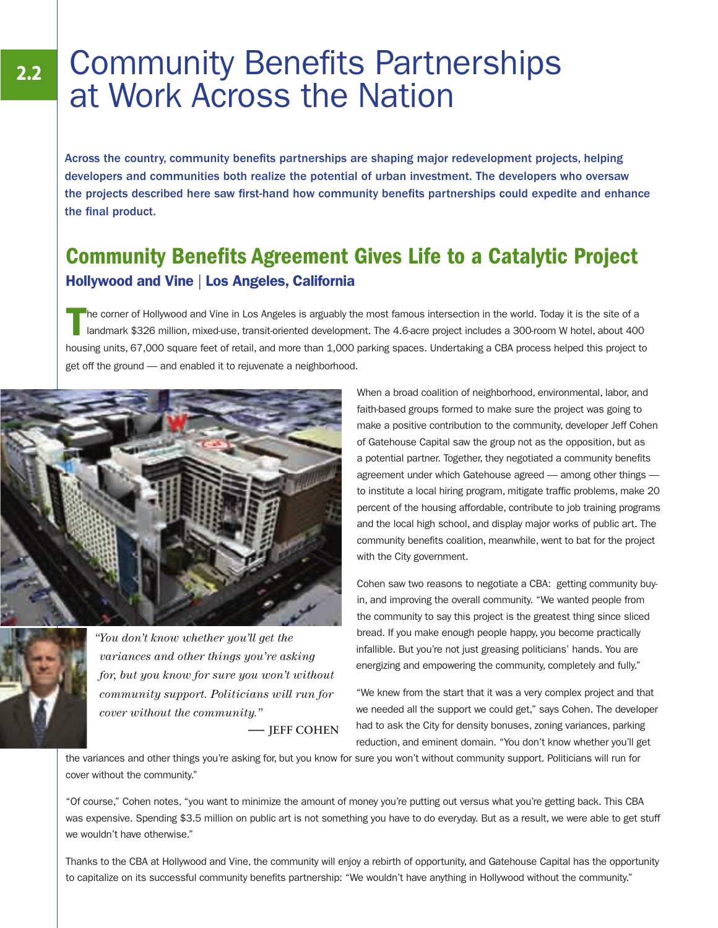# **Community Benefits Partnerships** at Work Across the Nation

Across the country, community benefits partnerships are shaping major redevelopment projects, helping developers and communities both realize the potential of urban investment. The developers who oversaw the projects described here saw first-hand how community benefits partnerships could expedite and enhance the final product.

## Community Benefits Agreement Gives Life to a Catalytic Project Hollywood and Vine | Los Angeles, California

T he corner of Hollywood and Vine in Los Angeles is arguably the most famous intersection in the world. Today it is the site of a landmark \$326 million, mixed-use, transit-oriented development. The 4.6-acre project includes a 300-room W hotel, about 400 housing units, 67,000 square feet of retail, and more than 1,000 parking spaces. Undertaking a CBA process helped this project to get off the ground — and enabled it to rejuvenate a neighborhood.



*"You don't know whether you'll get the variances and other things you're asking for, but you know for sure you won't without community support. Politicians will run for cover without the community."*

**— JEFF COHEN**

When a broad coalition of neighborhood, environmental, labor, and faith-based groups formed to make sure the project was going to make a positive contribution to the community, developer Jeff Cohen of Gatehouse Capital saw the group not as the opposition, but as a potential partner. Together, they negotiated a community benefits agreement under which Gatehouse agreed — among other things to institute a local hiring program, mitigate traffic problems, make 20 percent of the housing affordable, contribute to job training programs and the local high school, and display major works of public art. The community benefits coalition, meanwhile, went to bat for the project with the City government.

Cohen saw two reasons to negotiate a CBA: getting community buyin, and improving the overall community. "We wanted people from the community to say this project is the greatest thing since sliced bread. If you make enough people happy, you become practically infallible. But you're not just greasing politicians' hands. You are energizing and empowering the community, completely and fully."

"We knew from the start that it was a very complex project and that we needed all the support we could get," says Cohen. The developer had to ask the City for density bonuses, zoning variances, parking reduction, and eminent domain. "You don't know whether you'll get

the variances and other things you're asking for, but you know for sure you won't without community support. Politicians will run for cover without the community."

"Of course," Cohen notes, "you want to minimize the amount of money you're putting out versus what you're getting back. This CBA was expensive. Spending \$3.5 million on public art is not something you have to do everyday. But as a result, we were able to get stuff we wouldn't have otherwise."

Thanks to the CBA at Hollywood and Vine, the community will enjoy a rebirth of opportunity, and Gatehouse Capital has the opportunity to capitalize on its successful community benefits partnership: "We wouldn't have anything in Hollywood without the community."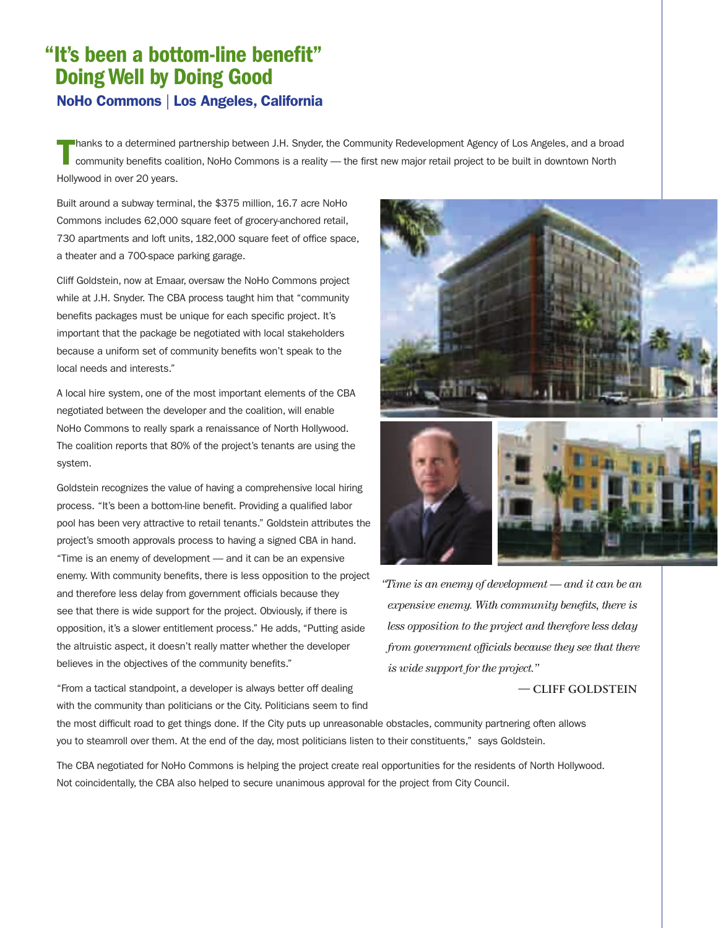### NoHo Commons | Los Angeles, California "It's been a bottom-line benefit" Doing Well by Doing Good

T hanks to a determined partnership between J.H. Snyder, the Community Redevelopment Agency of Los Angeles, and a broad community benefits coalition, NoHo Commons is a reality — the first new major retail project to be built in downtown North Hollywood in over 20 years.

Built around a subway terminal, the \$375 million, 16.7 acre NoHo Commons includes 62,000 square feet of grocery-anchored retail, 730 apartments and loft units, 182,000 square feet of office space, a theater and a 700-space parking garage.

Cliff Goldstein, now at Emaar, oversaw the NoHo Commons project while at J.H. Snyder. The CBA process taught him that "community benefits packages must be unique for each specific project. It's important that the package be negotiated with local stakeholders because a uniform set of community benefits won't speak to the local needs and interests."

A local hire system, one of the most important elements of the CBA negotiated between the developer and the coalition, will enable NoHo Commons to really spark a renaissance of North Hollywood. The coalition reports that 80% of the project's tenants are using the system.

Goldstein recognizes the value of having a comprehensive local hiring process. "It's been a bottom-line benefit. Providing a qualified labor pool has been very attractive to retail tenants." Goldstein attributes the project's smooth approvals process to having a signed CBA in hand. "Time is an enemy of development — and it can be an expensive enemy. With community benefits, there is less opposition to the project and therefore less delay from government officials because they see that there is wide support for the project. Obviously, if there is opposition, it's a slower entitlement process." He adds, "Putting aside the altruistic aspect, it doesn't really matter whether the developer believes in the objectives of the community benefits."

"From a tactical standpoint, a developer is always better off dealing with the community than politicians or the City. Politicians seem to find



*"Time is an enemy of development — and it can be an expensive enemy. With community benefits, there is less opposition to the project and therefore less delay from government officials because they see that there is wide support for the project."* 

#### **CLIFF GOLDSTEIN**

the most difficult road to get things done. If the City puts up unreasonable obstacles, community partnering often allows you to steamroll over them. At the end of the day, most politicians listen to their constituents," says Goldstein.

The CBA negotiated for NoHo Commons is helping the project create real opportunities for the residents of North Hollywood. Not coincidentally, the CBA also helped to secure unanimous approval for the project from City Council.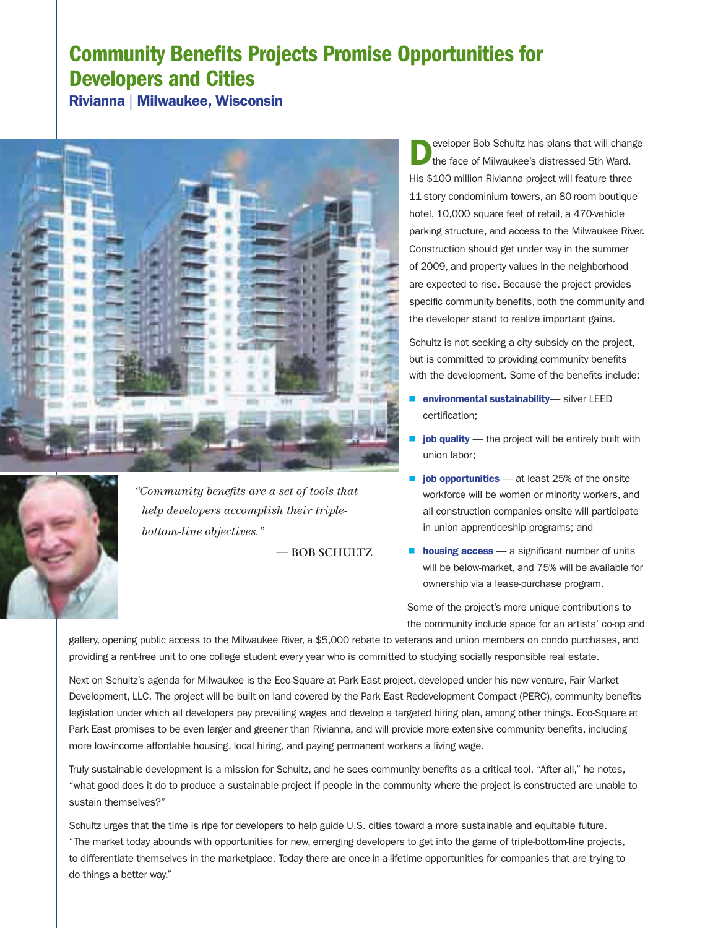## Community Benefits Projects Promise Opportunities for Developers and Cities

Rivianna | Milwaukee, Wisconsin



*"Community benefits are a set of tools that help developers accomplish their triplebottom-line objectives."*

 $-$ **BOB SCHULTZ** 

D eveloper Bob Schultz has plans that will change the face of Milwaukee's distressed 5th Ward. His \$100 million Rivianna project will feature three 11-story condominium towers, an 80-room boutique hotel, 10,000 square feet of retail, a 470-vehicle parking structure, and access to the Milwaukee River. Construction should get under way in the summer of 2009, and property values in the neighborhood are expected to rise. Because the project provides specific community benefits, both the community and the developer stand to realize important gains.

Schultz is not seeking a city subsidy on the project, but is committed to providing community benefits with the development. Some of the benefits include:

- **P** environmental sustainability-silver LEED certification;
- $\blacksquare$  job quality the project will be entirely built with union labor;
- job opportunities  $-$  at least 25% of the onsite workforce will be women or minority workers, and all construction companies onsite will participate in union apprenticeship programs; and
- $\blacksquare$  **housing access** a significant number of units will be below-market, and 75% will be available for ownership via a lease-purchase program.

Some of the project's more unique contributions to the community include space for an artists' co-op and

gallery, opening public access to the Milwaukee River, a \$5,000 rebate to veterans and union members on condo purchases, and providing a rent-free unit to one college student every year who is committed to studying socially responsible real estate.

Next on Schultz's agenda for Milwaukee is the Eco-Square at Park East project, developed under his new venture, Fair Market Development, LLC. The project will be built on land covered by the Park East Redevelopment Compact (PERC), community benefits legislation under which all developers pay prevailing wages and develop a targeted hiring plan, among other things. Eco-Square at Park East promises to be even larger and greener than Rivianna, and will provide more extensive community benefits, including more low-income affordable housing, local hiring, and paying permanent workers a living wage.

Truly sustainable development is a mission for Schultz, and he sees community benefits as a critical tool. "After all," he notes, "what good does it do to produce a sustainable project if people in the community where the project is constructed are unable to sustain themselves?"

Schultz urges that the time is ripe for developers to help guide U.S. cities toward a more sustainable and equitable future. "The market today abounds with opportunities for new, emerging developers to get into the game of triple-bottom-line projects, to differentiate themselves in the marketplace. Today there are once-in-a-lifetime opportunities for companies that are trying to do things a better way."